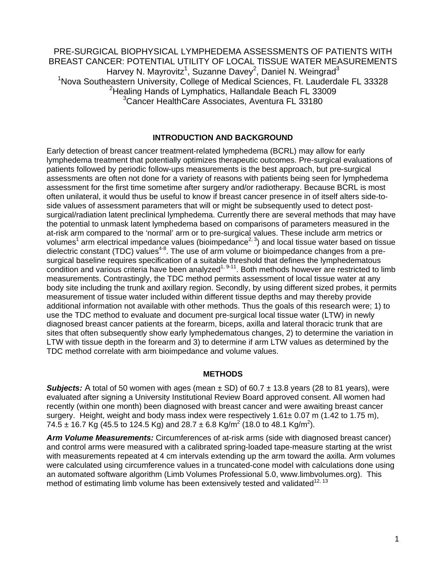PRE-SURGICAL BIOPHYSICAL LYMPHEDEMA ASSESSMENTS OF PATIENTS WITH BREAST CANCER: POTENTIAL UTILITY OF LOCAL TISSUE WATER MEASUREMENTS Harvey N. Mayrovitz<sup>1</sup>, Suzanne Davey<sup>2</sup>, Daniel N. Weingrad<sup>3</sup> <sup>1</sup>Nova Southeastern University, College of Medical Sciences, Ft. Lauderdale FL 33328 <sup>2</sup>Healing Hands of Lymphatics, Hallandale Beach FL 33009 3 Cancer HealthCare Associates, Aventura FL 33180

#### **INTRODUCTION AND BACKGROUND**

Early detection of breast cancer treatment-related lymphedema (BCRL) may allow for early lymphedema treatment that potentially optimizes therapeutic outcomes. Pre-surgical evaluations of patients followed by periodic follow-ups measurements is the best approach, but pre-surgical assessments are often not done for a variety of reasons with patients being seen for lymphedema assessment for the first time sometime after surgery and/or radiotherapy. Because BCRL is most often unilateral, it would thus be useful to know if breast cancer presence in of itself alters side-toside values of assessment parameters that will or might be subsequently used to detect postsurgical/radiation latent preclinical lymphedema. Currently there are several methods that may have the potential to unmask latent lymphedema based on comparisons of parameters measured in the at-risk arm compared to the 'normal' arm or to pre-surgical values. These include arm metrics or volumes<sup>1</sup> arm electrical impedance values (bioimpedance<sup>2, 3</sup>) and local tissue water based on tissue dielectric constant (TDC) values<sup>4-8</sup>. The use of arm volume or bioimpedance changes from a presurgical baseline requires specification of a suitable threshold that defines the lymphedematous condition and various criteria have been analyzed<sup>1, 9-11</sup>. Both methods however are restricted to limb measurements. Contrastingly, the TDC method permits assessment of local tissue water at any body site including the trunk and axillary region. Secondly, by using different sized probes, it permits measurement of tissue water included within different tissue depths and may thereby provide additional information not available with other methods. Thus the goals of this research were; 1) to use the TDC method to evaluate and document pre-surgical local tissue water (LTW) in newly diagnosed breast cancer patients at the forearm, biceps, axilla and lateral thoracic trunk that are sites that often subsequently show early lymphedematous changes, 2) to determine the variation in LTW with tissue depth in the forearm and 3) to determine if arm LTW values as determined by the TDC method correlate with arm bioimpedance and volume values.

#### **METHODS**

**Subjects:** A total of 50 women with ages (mean  $\pm$  SD) of 60.7  $\pm$  13.8 years (28 to 81 years), were evaluated after signing a University Institutional Review Board approved consent. All women had recently (within one month) been diagnosed with breast cancer and were awaiting breast cancer surgery. Height, weight and body mass index were respectively 1.61± 0.07 m (1.42 to 1.75 m), 74.5  $\pm$  16.7 Kg (45.5 to 124.5 Kg) and 28.7  $\pm$  6.8 Kg/m<sup>2</sup> (18.0 to 48.1 Kg/m<sup>2</sup>).

*Arm Volume Measurements:* Circumferences of at-risk arms (side with diagnosed breast cancer) and control arms were measured with a calibrated spring-loaded tape-measure starting at the wrist with measurements repeated at 4 cm intervals extending up the arm toward the axilla. Arm volumes were calculated using circumference values in a truncated-cone model with calculations done using an automated software algorithm (Limb Volumes Professional 5.0, www.limbvolumes.org). This method of estimating limb volume has been extensively tested and validated $^{12, 13}$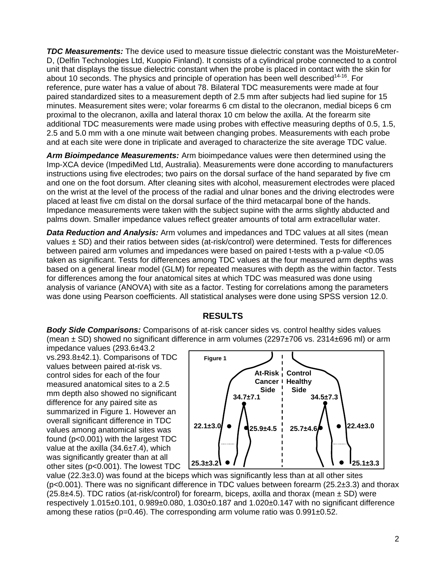*TDC Measurements:* The device used to measure tissue dielectric constant was the MoistureMeter-D, (Delfin Technologies Ltd, Kuopio Finland). It consists of a cylindrical probe connected to a control unit that displays the tissue dielectric constant when the probe is placed in contact with the skin for about 10 seconds. The physics and principle of operation has been well described<sup>14-16</sup>. For reference, pure water has a value of about 78. Bilateral TDC measurements were made at four paired standardized sites to a measurement depth of 2.5 mm after subjects had lied supine for 15 minutes. Measurement sites were; volar forearms 6 cm distal to the olecranon, medial biceps 6 cm proximal to the olecranon, axilla and lateral thorax 10 cm below the axilla. At the forearm site additional TDC measurements were made using probes with effective measuring depths of 0.5, 1.5, 2.5 and 5.0 mm with a one minute wait between changing probes. Measurements with each probe and at each site were done in triplicate and averaged to characterize the site average TDC value.

*Arm Bioimpedance Measurements:* Arm bioimpedance values were then determined using the Imp-XCA device (ImpediMed Ltd, Australia). Measurements were done according to manufacturers instructions using five electrodes; two pairs on the dorsal surface of the hand separated by five cm and one on the foot dorsum. After cleaning sites with alcohol, measurement electrodes were placed on the wrist at the level of the process of the radial and ulnar bones and the driving electrodes were placed at least five cm distal on the dorsal surface of the third metacarpal bone of the hands. Impedance measurements were taken with the subject supine with the arms slightly abducted and palms down. Smaller impedance values reflect greater amounts of total arm extracellular water.

*Data Reduction and Analysis:* Arm volumes and impedances and TDC values at all sites (mean values ± SD) and their ratios between sides (at-risk/control) were determined. Tests for differences between paired arm volumes and impedances were based on paired t-tests with a p-value <0.05 taken as significant. Tests for differences among TDC values at the four measured arm depths was based on a general linear model (GLM) for repeated measures with depth as the within factor. Tests for differences among the four anatomical sites at which TDC was measured was done using analysis of variance (ANOVA) with site as a factor. Testing for correlations among the parameters was done using Pearson coefficients. All statistical analyses were done using SPSS version 12.0.

# **RESULTS**

*Body Side Comparisons:* Comparisons of at-risk cancer sides vs. control healthy sides values (mean  $\pm$  SD) showed no significant difference in arm volumes (2297 $\pm$ 706 vs. 2314 $\pm$ 696 ml) or arm

impedance values (293.6±43.2 vs.293.8±42.1). Comparisons of TDC values between paired at-risk vs. control sides for each of the four measured anatomical sites to a 2.5 mm depth also showed no significant difference for any paired site as summarized in Figure 1. However an overall significant difference in TDC values among anatomical sites was found (p<0.001) with the largest TDC value at the axilla (34.6±7.4), which was significantly greater than at all other sites (p<0.001). The lowest TDC



value ( $22.3\pm3.0$ ) was found at the biceps which was significantly less than at all other sites  $(p<0.001)$ . There was no significant difference in TDC values between forearm (25.2 $\pm$ 3.3) and thorax  $(25.8±4.5)$ . TDC ratios (at-risk/control) for forearm, biceps, axilla and thorax (mean  $\pm$  SD) were respectively 1.015±0.101, 0.989±0.080, 1.030±0.187 and 1.020±0.147 with no significant difference among these ratios ( $p=0.46$ ). The corresponding arm volume ratio was  $0.991\pm0.52$ .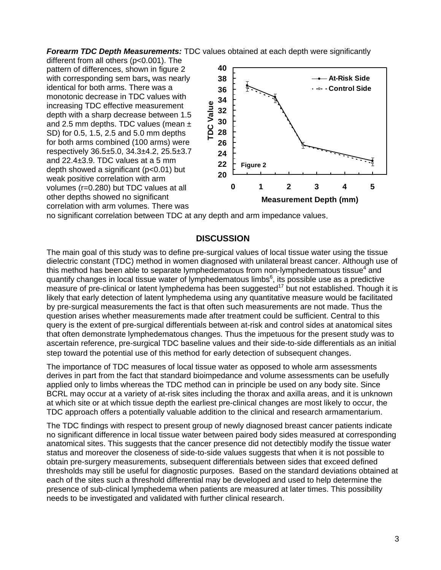*Forearm TDC Depth Measurements:* TDC values obtained at each depth were significantly

different from all others (p<0.001). The pattern of differences, shown in figure 2 with corresponding sem bars**,** was nearly identical for both arms. There was a monotonic decrease in TDC values with increasing TDC effective measurement depth with a sharp decrease between 1.5 and 2.5 mm depths. TDC values (mean  $\pm$ SD) for 0.5, 1.5, 2.5 and 5.0 mm depths for both arms combined (100 arms) were respectively 36.5±5.0, 34.3±4.2, 25.5±3.7 and 22.4±3.9. TDC values at a 5 mm depth showed a significant (p<0.01) but weak positive correlation with arm volumes (r=0.280) but TDC values at all other depths showed no significant correlation with arm volumes. There was



no significant correlation between TDC at any depth and arm impedance values.

### **DISCUSSION**

The main goal of this study was to define pre-surgical values of local tissue water using the tissue dielectric constant (TDC) method in women diagnosed with unilateral breast cancer. Although use of this method has been able to separate lymphedematous from non-lymphedematous tissue<sup>4</sup> and quantify changes in local tissue water of lymphedematous limbs $6$ , its possible use as a predictive measure of pre-clinical or latent lymphedema has been suggested<sup>17</sup> but not established. Though it is likely that early detection of latent lymphedema using any quantitative measure would be facilitated by pre-surgical measurements the fact is that often such measurements are not made. Thus the question arises whether measurements made after treatment could be sufficient. Central to this query is the extent of pre-surgical differentials between at-risk and control sides at anatomical sites that often demonstrate lymphedematous changes. Thus the impetuous for the present study was to ascertain reference, pre-surgical TDC baseline values and their side-to-side differentials as an initial step toward the potential use of this method for early detection of subsequent changes.

The importance of TDC measures of local tissue water as opposed to whole arm assessments derives in part from the fact that standard bioimpedance and volume assessments can be usefully applied only to limbs whereas the TDC method can in principle be used on any body site. Since BCRL may occur at a variety of at-risk sites including the thorax and axilla areas, and it is unknown at which site or at which tissue depth the earliest pre-clinical changes are most likely to occur, the TDC approach offers a potentially valuable addition to the clinical and research armamentarium.

The TDC findings with respect to present group of newly diagnosed breast cancer patients indicate no significant difference in local tissue water between paired body sides measured at corresponding anatomical sites. This suggests that the cancer presence did not detectibly modify the tissue water status and moreover the closeness of side-to-side values suggests that when it is not possible to obtain pre-surgery measurements, subsequent differentials between sides that exceed defined thresholds may still be useful for diagnostic purposes. Based on the standard deviations obtained at each of the sites such a threshold differential may be developed and used to help determine the presence of sub-clinical lymphedema when patients are measured at later times. This possibility needs to be investigated and validated with further clinical research.